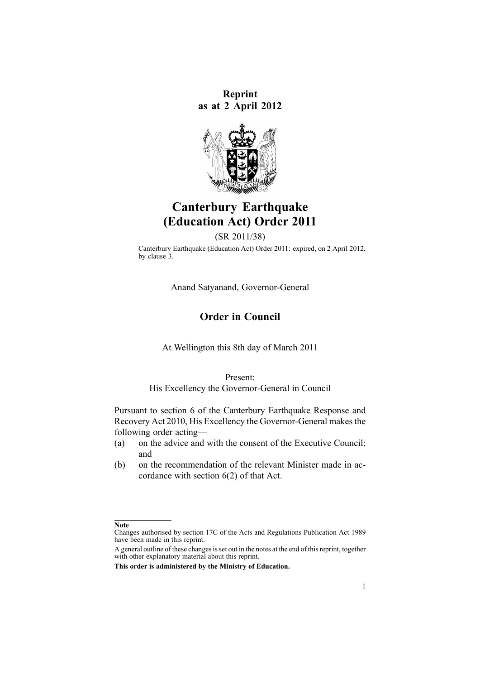**Reprint as at 2 April 2012**



# **Canterbury Earthquake (Education Act) Order 2011**

(SR 2011/38)

Canterbury Earthquake (Education Act) Order 2011: expired, on 2 April 2012, by [clause](http://www.legislation.govt.nz/pdflink.aspx?id=DLM3586769) 3.

Anand Satyanand, Governor-General

# **Order in Council**

At Wellington this 8th day of March 2011

Present:

His Excellency the Governor-General in Council

Pursuant to [section](http://www.legislation.govt.nz/pdflink.aspx?id=DLM3233036) 6 of the Canterbury Earthquake Response and Recovery Act 2010, His Excellency the Governor-General makes the following order acting—

- (a) on the advice and with the consent of the Executive Council; and
- (b) on the recommendation of the relevant Minister made in accordance with [section](http://www.legislation.govt.nz/pdflink.aspx?id=DLM3233036) 6(2) of that Act.

**Note**

Changes authorised by [section](http://www.legislation.govt.nz/pdflink.aspx?id=DLM195466) 17C of the Acts and Regulations Publication Act 1989 have been made in this reprint.

A general outline of these changes is set out in the notes at the end of this reprint, together with other explanatory material about this reprint.

**This order is administered by the Ministry of Education.**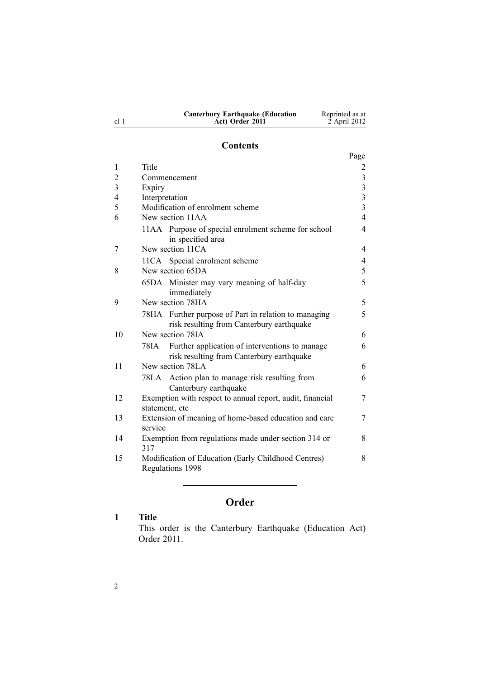| <b>Canterbury Earthquake (Education</b> | Reprinted as at |
|-----------------------------------------|-----------------|
| Act) Order 2011                         | 2 April 2012    |

# **Contents**

|                |                                                                                                     | Page                    |
|----------------|-----------------------------------------------------------------------------------------------------|-------------------------|
| 1              | Title                                                                                               | 2                       |
| $\overline{2}$ | Commencement                                                                                        | $\overline{\mathbf{3}}$ |
| $\overline{3}$ | Expiry                                                                                              | $\overline{3}$          |
| $\overline{4}$ | Interpretation                                                                                      | $\overline{\mathbf{3}}$ |
| 5              | Modification of enrolment scheme                                                                    | $\overline{3}$          |
| 6              | New section 11AA                                                                                    | $\overline{4}$          |
|                | 11AA Purpose of special enrolment scheme for school<br>in specified area                            | $\overline{4}$          |
| 7              | New section 11CA                                                                                    | 4                       |
|                | 11CA Special enrolment scheme                                                                       | 4                       |
| 8              | New section 65DA                                                                                    | 5                       |
|                | 65DA Minister may vary meaning of half-day<br>immediately                                           | 5                       |
| 9              | New section 78HA                                                                                    | 5                       |
|                | 78HA Further purpose of Part in relation to managing<br>risk resulting from Canterbury earthquake   | 5                       |
| 10             | New section 78IA                                                                                    | 6                       |
|                | Further application of interventions to manage<br>78IA<br>risk resulting from Canterbury earthquake | 6                       |
| 11             | New section 78LA                                                                                    | 6                       |
|                | 78LA Action plan to manage risk resulting from<br>Canterbury earthquake                             | 6                       |
| 12             | Exemption with respect to annual report, audit, financial<br>statement, etc                         | 7                       |
| 13             | Extension of meaning of home-based education and care<br>service                                    | 7                       |
| 14             | Exemption from regulations made under section 314 or<br>317                                         | 8                       |
| 15             | Modification of Education (Early Childhood Centres)<br>Regulations 1998                             | 8                       |

# **Order**

# **1 Title**

This order is the Canterbury Earthquake (Education Act) Order 2011.

cl 1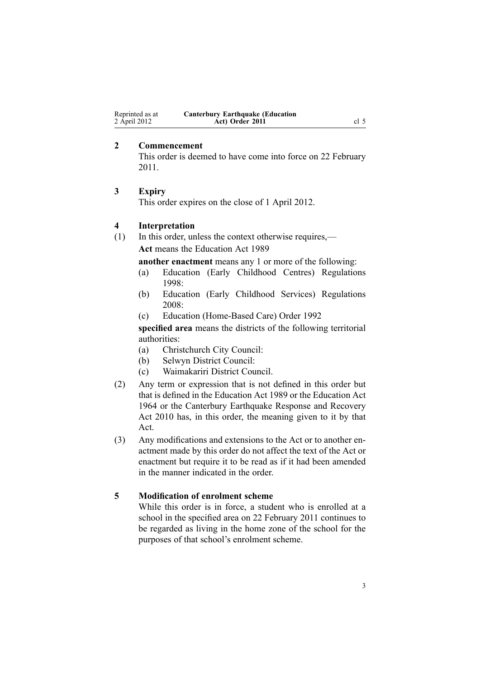<span id="page-2-0"></span>

| Reprinted as at | <b>Canterbury Earthquake (Education</b> |      |
|-----------------|-----------------------------------------|------|
| 2 April 2012    | Act) Order 2011                         | cl 5 |

#### **2 Commencement**

This order is deemed to have come into force on 22 February 2011.

#### **3 Expiry**

This order expires on the close of 1 April 2012.

# **4 Interpretation**

(1) In this order, unless the context otherwise requires,— **Act** means the [Education](http://www.legislation.govt.nz/pdflink.aspx?id=DLM175958) Act 1989

**another enactment** means any 1 or more of the following:

- (a) Education (Early Childhood Centres) [Regulations](http://www.legislation.govt.nz/pdflink.aspx?id=DLM247710) [1998](http://www.legislation.govt.nz/pdflink.aspx?id=DLM247710):
- (b) Education (Early Childhood Services) [Regulations](http://www.legislation.govt.nz/pdflink.aspx?id=DLM1412500) [2008](http://www.legislation.govt.nz/pdflink.aspx?id=DLM1412500):
- (c) Education [\(Home-Based](http://www.legislation.govt.nz/pdflink.aspx?id=DLM165941) Care) Order 1992

**specified area** means the districts of the following territorial authorities:

- (a) Christchurch City Council:
- (b) Selwyn District Council:
- (c) Waimakariri District Council.
- (2) Any term or expression that is not defined in this order but that is defined in the [Education](http://www.legislation.govt.nz/pdflink.aspx?id=DLM175958) Act 1989 or the [Education](http://www.legislation.govt.nz/pdflink.aspx?id=DLM356731) Act [1964](http://www.legislation.govt.nz/pdflink.aspx?id=DLM356731) or the Canterbury [Earthquake](http://www.legislation.govt.nz/pdflink.aspx?id=DLM3233000) Response and Recovery Act [2010](http://www.legislation.govt.nz/pdflink.aspx?id=DLM3233000) has, in this order, the meaning given to it by that Act.
- (3) Any modifications and extensions to the [Act](http://www.legislation.govt.nz/pdflink.aspx?id=DLM175958) or to another enactment made by this order do not affect the text of the Act or enactment but require it to be read as if it had been amended in the manner indicated in the order.

#### **5 Modification of enrolment scheme**

While this order is in force, <sup>a</sup> student who is enrolled at <sup>a</sup> school in the specified area on 22 February 2011 continues to be regarded as living in the home zone of the school for the purposes of that school's enrolment scheme.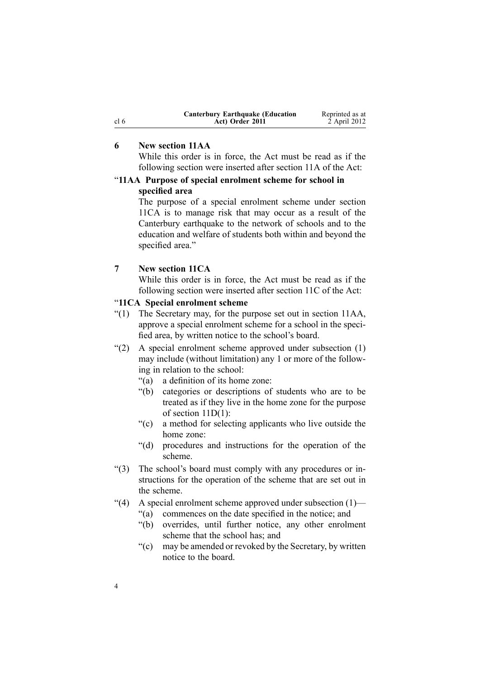<span id="page-3-0"></span>

|                 | <b>Canterbury Earthquake (Education</b> | Reprinted as at |
|-----------------|-----------------------------------------|-----------------|
| cl <sub>6</sub> | Act) Order 2011                         | 2 April 2012    |

# **6 New section 11AA**

While this order is in force, the [Act](http://www.legislation.govt.nz/pdflink.aspx?id=DLM175958) must be read as if the following section were inserted after [section](http://www.legislation.govt.nz/pdflink.aspx?id=DLM177484) 11A of the Act:

# "**11AA Purpose of special enrolment scheme for school in specified area**

The purpose of <sup>a</sup> special enrolment scheme under section 11CA is to manage risk that may occur as <sup>a</sup> result of the Canterbury earthquake to the network of schools and to the education and welfare of students both within and beyond the specified area."

# **7 New section 11CA**

While this order is in force, the [Act](http://www.legislation.govt.nz/pdflink.aspx?id=DLM175958) must be read as if the following section were inserted after [section](http://www.legislation.govt.nz/pdflink.aspx?id=DLM177801) 11C of the Act:

#### "**11CA Special enrolment scheme**

- "(1) The Secretary may, for the purpose set out in section 11AA, approve <sup>a</sup> special enrolment scheme for <sup>a</sup> school in the specified area, by written notice to the school's board.
- "(2) A special enrolment scheme approved under subsection (1) may include (without limitation) any 1 or more of the following in relation to the school:
	- "(a) <sup>a</sup> definition of its home zone:
	- "(b) categories or descriptions of students who are to be treated as if they live in the home zone for the purpose of section 11D(1):
	- "(c) <sup>a</sup> method for selecting applicants who live outside the home zone:
	- "(d) procedures and instructions for the operation of the scheme.
- "(3) The school's board must comply with any procedures or instructions for the operation of the scheme that are set out in the scheme.
- "(4) A special enrolment scheme approved under subsection  $(1)$ 
	- "(a) commences on the date specified in the notice; and
	- "(b) overrides, until further notice, any other enrolment scheme that the school has; and
	- "(c) may be amended or revoked by the Secretary, by written notice to the board.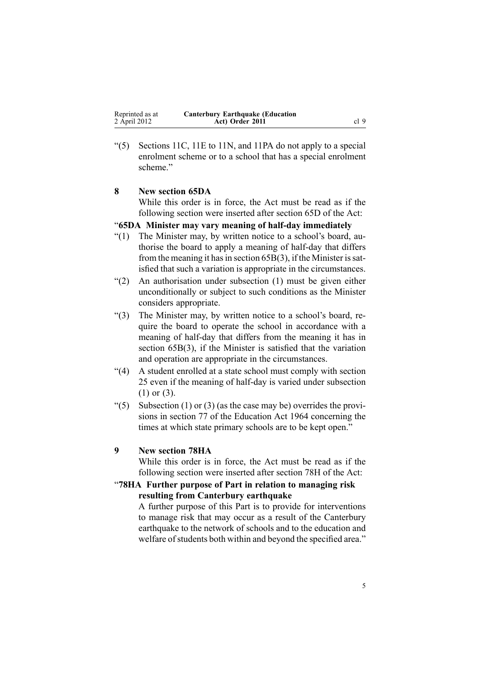<span id="page-4-0"></span> $(5)$  Sections 11C, 11E to 11N, and 11PA do not apply to a special enrolment scheme or to <sup>a</sup> school that has <sup>a</sup> special enrolment scheme."

### **8 New section 65DA**

While this order is in force, the [Act](http://www.legislation.govt.nz/pdflink.aspx?id=DLM175958) must be read as if the following section were inserted after [section](http://www.legislation.govt.nz/pdflink.aspx?id=DLM179510) 65D of the Act:

### "**65DA Minister may vary meaning of half-day immediately**

- "(1) The Minister may, by written notice to <sup>a</sup> school's board, authorise the board to apply <sup>a</sup> meaning of half-day that differs from the meaning it has in section  $65B(3)$ , if the Minister is satisfied that such <sup>a</sup> variation is appropriate in the circumstances.
- "(2) An authorisation under subsection (1) must be given either unconditionally or subject to such conditions as the Minister considers appropriate.
- "(3) The Minister may, by written notice to <sup>a</sup> school's board, require the board to operate the school in accordance with <sup>a</sup> meaning of half-day that differs from the meaning it has in section 65B(3), if the Minister is satisfied that the variation and operation are appropriate in the circumstances.
- "(4) A student enrolled at <sup>a</sup> state school must comply with section 25 even if the meaning of half-day is varied under subsection (1) or (3).
- "(5) Subsection (1) or (3) (as the case may be) overrides the provisions in section 77 of the Education Act 1964 concerning the times at which state primary schools are to be kept open."

#### **9 New section 78HA**

While this order is in force, the [Act](http://www.legislation.govt.nz/pdflink.aspx?id=DLM175958) must be read as if the following section were inserted after [section](http://www.legislation.govt.nz/pdflink.aspx?id=DLM180102) 78H of the Act:

#### "**78HA Further purpose of Part in relation to managing risk resulting from Canterbury earthquake**

A further purpose of this Part is to provide for interventions to manage risk that may occur as <sup>a</sup> result of the Canterbury earthquake to the network of schools and to the education and welfare of students both within and beyond the specified area."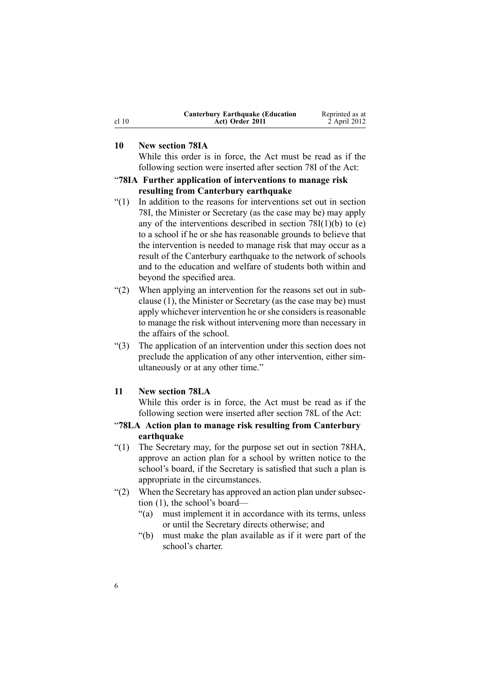| <b>Canterbury Earthquake (Education</b> | Reprinted as at |
|-----------------------------------------|-----------------|
| Act) Order 2011                         | 2 April 2012    |

# **10 New section 78IA**

While this order is in force, the [Act](http://www.legislation.govt.nz/pdflink.aspx?id=DLM175958) must be read as if the following section were inserted after [section](http://www.legislation.govt.nz/pdflink.aspx?id=DLM180104) 78I of the Act:

### "**78IA Further application of interventions to manage risk resulting from Canterbury earthquake**

- "(1) In addition to the reasons for interventions set out in section 78I, the Minister or Secretary (as the case may be) may apply any of the interventions described in section  $78I(1)(b)$  to (e) to <sup>a</sup> school if he or she has reasonable grounds to believe that the intervention is needed to manage risk that may occur as <sup>a</sup> result of the Canterbury earthquake to the network of schools and to the education and welfare of students both within and beyond the specified area.
- "(2) When applying an intervention for the reasons set out in subclause (1), the Minister or Secretary (as the case may be) must apply whichever intervention he or she considers is reasonable to manage the risk without intervening more than necessary in the affairs of the school.
- "(3) The application of an intervention under this section does not preclude the application of any other intervention, either simultaneously or at any other time."

#### **11 New section 78LA**

While this order is in force, the [Act](http://www.legislation.govt.nz/pdflink.aspx?id=DLM175958) must be read as if the following section were inserted after [section](http://www.legislation.govt.nz/pdflink.aspx?id=DLM180110) 78L of the Act:

#### "**78LA Action plan to manage risk resulting from Canterbury earthquake**

- "(1) The Secretary may, for the purpose set out in section 78HA, approve an action plan for <sup>a</sup> school by written notice to the school's board, if the Secretary is satisfied that such <sup>a</sup> plan is appropriate in the circumstances.
- "(2) When the Secretary has approved an action plan under subsection (1), the school's board—
	- "(a) must implement it in accordance with its terms, unless or until the Secretary directs otherwise; and
	- "(b) must make the plan available as if it were par<sup>t</sup> of the school's charter.

<span id="page-5-0"></span>cl 10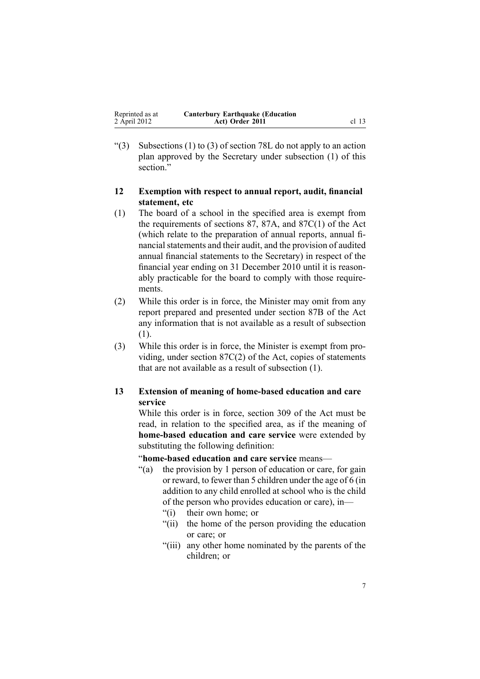<span id="page-6-0"></span>

| Reprinted as at | <b>Canterbury Earthquake (Education</b> |       |
|-----------------|-----------------------------------------|-------|
| 2 April 2012    | Act) Order 2011                         | cl 13 |

"(3) Subsections (1) to (3) of section 78L do not apply to an action plan approved by the Secretary under subsection (1) of this section."

#### **12 Exemption with respect to annual report, audit, financial statement, etc**

- (1) The board of <sup>a</sup> school in the specified area is exemp<sup>t</sup> from the requirements of [sections](http://www.legislation.govt.nz/pdflink.aspx?id=DLM180157) 87, [87A](http://www.legislation.govt.nz/pdflink.aspx?id=DLM180171), and [87C\(1\)](http://www.legislation.govt.nz/pdflink.aspx?id=DLM180175) of the Act (which relate to the preparation of annual reports, annual financial statements and their audit, and the provision of audited annual financial statements to the Secretary) in respec<sup>t</sup> of the financial year ending on 31 December 2010 until it is reasonably practicable for the board to comply with those requirements.
- (2) While this order is in force, the Minister may omit from any repor<sup>t</sup> prepared and presented under [section](http://www.legislation.govt.nz/pdflink.aspx?id=DLM180173) 87B of the Act any information that is not available as <sup>a</sup> result of subsection (1).
- (3) While this order is in force, the Minister is exemp<sup>t</sup> from providing, under section [87C\(2\)](http://www.legislation.govt.nz/pdflink.aspx?id=DLM180175) of the Act, copies of statements that are not available as <sup>a</sup> result of subsection (1).

# **13 Extension of meaning of home-based education and care service**

While this order is in force, [section](http://www.legislation.govt.nz/pdflink.aspx?id=DLM187091) 309 of the Act must be read, in relation to the specified area, as if the meaning of **home-based education and care service** were extended by substituting the following definition:

#### "**home-based education and care service** means—

- "(a) the provision by 1 person of education or care, for gain or reward, to fewer than 5 children under the age of 6 (in addition to any child enrolled at school who is the child of the person who provides education or care), in—
	- "(i) their own home; or
	- "(ii) the home of the person providing the education or care; or
	- "(iii) any other home nominated by the parents of the children; or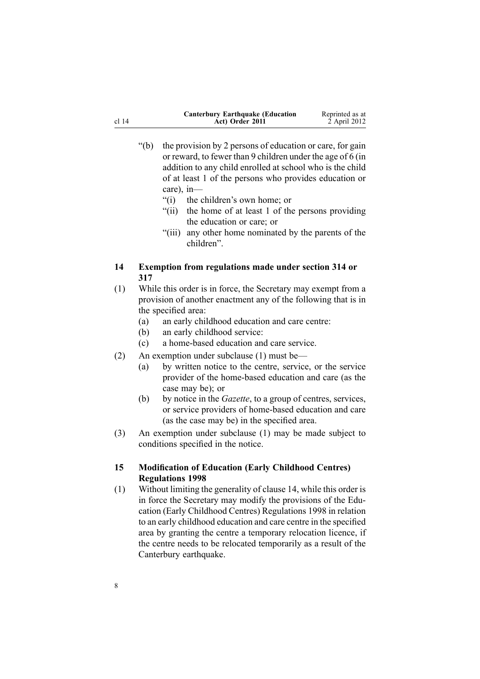<span id="page-7-0"></span>

|       | <b>Canterbury Earthquake (Education)</b> | Reprinted as at |
|-------|------------------------------------------|-----------------|
| cl 14 | Act) Order 2011                          | 2 April 2012    |

- "(b) the provision by 2 persons of education or care, for gain or reward, to fewer than 9 children under the age of 6 (in addition to any child enrolled at school who is the child of at least 1 of the persons who provides education or care), in—
	- "(i) the children's own home; or
	- "(ii) the home of at least 1 of the persons providing the education or care; or
	- "(iii) any other home nominated by the parents of the children".

#### **14 Exemption from regulations made under section 314 or 317**

- (1) While this order is in force, the Secretary may exemp<sup>t</sup> from <sup>a</sup> provision of another enactment any of the following that is in the specified area:
	- (a) an early childhood education and care centre:
	- (b) an early childhood service:
	- (c) <sup>a</sup> home-based education and care service.
- (2) An exemption under subclause (1) must be—
	- (a) by written notice to the centre, service, or the service provider of the home-based education and care (as the case may be); or
	- (b) by notice in the *Gazette*, to <sup>a</sup> group of centres, services, or service providers of home-based education and care (as the case may be) in the specified area.
- (3) An exemption under subclause (1) may be made subject to conditions specified in the notice.

#### **15 Modification of Education (Early Childhood Centres) Regulations 1998**

(1) Without limiting the generality of clause 14, while this order is in force the Secretary may modify the provisions of the [Edu](http://www.legislation.govt.nz/pdflink.aspx?id=DLM247710)cation (Early Childhood Centres) [Regulations](http://www.legislation.govt.nz/pdflink.aspx?id=DLM247710) 1998 in relation to an early childhood education and care centre in the specified area by granting the centre <sup>a</sup> temporary relocation licence, if the centre needs to be relocated temporarily as <sup>a</sup> result of the Canterbury earthquake.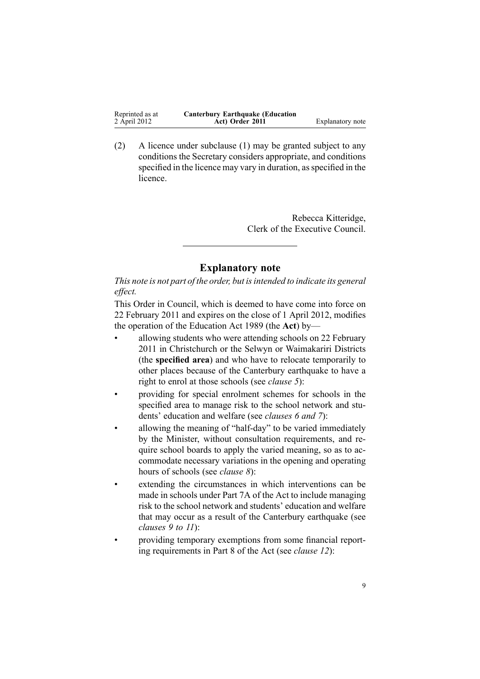| Reprinted as at | <b>Canterbury Earthquake (Education</b> |                  |
|-----------------|-----------------------------------------|------------------|
| 2 April 2012    | Act) Order 2011                         | Explanatory note |

(2) A licence under subclause (1) may be granted subject to any conditions the Secretary considers appropriate, and conditions specified in the licence may vary in duration, as specified in the licence.

> Rebecca Kitteridge, Clerk of the Executive Council.

### **Explanatory note**

*This note is not par<sup>t</sup> of the order, but isintended to indicate its general effect.*

This Order in Council, which is deemed to have come into force on 22 February 2011 and expires on the close of 1 April 2012, modifies the operation of the [Education](http://www.legislation.govt.nz/pdflink.aspx?id=DLM175958) Act 1989 (the **Act**) by—

- • allowing students who were attending schools on 22 February 2011 in Christchurch or the Selwyn or Waimakariri Districts (the **specified area**) and who have to relocate temporarily to other places because of the Canterbury earthquake to have <sup>a</sup> right to enrol at those schools (see *[clause](#page-2-0) 5*):
- • providing for special enrolment schemes for schools in the specified area to manage risk to the school network and students' education and welfare (see *[clauses](#page-3-0) 6 and [7](#page-3-0)*):
- • allowing the meaning of "half-day" to be varied immediately by the Minister, without consultation requirements, and require school boards to apply the varied meaning, so as to accommodate necessary variations in the opening and operating hours of schools (see *[clause](#page-4-0) 8*):
- • extending the circumstances in which interventions can be made in schools under [Part](http://www.legislation.govt.nz/pdflink.aspx?id=DLM180100) 7A of the Act to include managing risk to the school network and students' education and welfare that may occur as <sup>a</sup> result of the Canterbury earthquake (see *[clauses](#page-4-0) 9 to 11*):
- • providing temporary exemptions from some financial reporting requirements in [Part](http://www.legislation.govt.nz/pdflink.aspx?id=DLM180130) 8 of the Act (see *[clause](#page-6-0) 12*):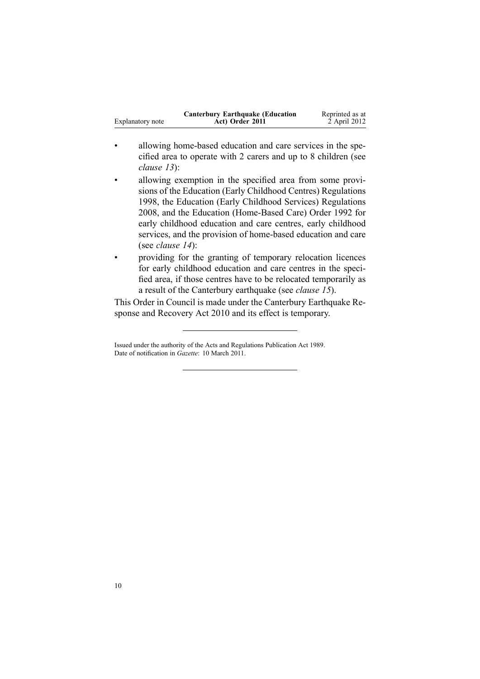|                  | <b>Canterbury Earthquake (Education</b> | Reprinted as at |
|------------------|-----------------------------------------|-----------------|
| Explanatory note | Act) Order 2011                         | 2 April 2012    |

- • allowing home-based education and care services in the specified area to operate with 2 carers and up to 8 children (see *[clause](#page-6-0) 13*):
- • allowing exemption in the specified area from some provisions of the Education (Early Childhood Centres) [Regulations](http://www.legislation.govt.nz/pdflink.aspx?id=DLM247710) [1998](http://www.legislation.govt.nz/pdflink.aspx?id=DLM247710), the Education (Early Childhood Services) [Regulations](http://www.legislation.govt.nz/pdflink.aspx?id=DLM1412500) [2008](http://www.legislation.govt.nz/pdflink.aspx?id=DLM1412500), and the Education [\(Home-Based](http://www.legislation.govt.nz/pdflink.aspx?id=DLM165941) Care) Order 1992 for early childhood education and care centres, early childhood services, and the provision of home-based education and care (see *[clause](#page-7-0) 14*):
- • providing for the granting of temporary relocation licences for early childhood education and care centres in the specified area, if those centres have to be relocated temporarily as <sup>a</sup> result of the Canterbury earthquake (see *[clause](#page-7-0) 15*).

This Order in Council is made under the Canterbury [Earthquake](http://www.legislation.govt.nz/pdflink.aspx?id=DLM3233000) Response and [Recovery](http://www.legislation.govt.nz/pdflink.aspx?id=DLM3233000) Act 2010 and its effect is temporary.

Issued under the authority of the Acts and [Regulations](http://www.legislation.govt.nz/pdflink.aspx?id=DLM195097) Publication Act 1989. Date of notification in *Gazette*: 10 March 2011.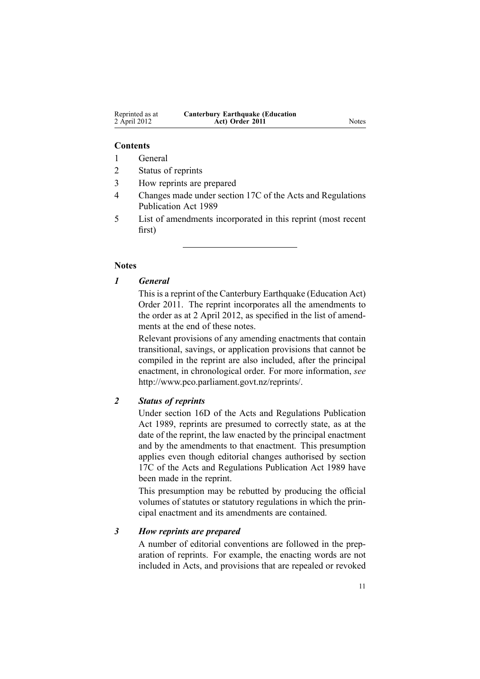| Reprinted as at | <b>Canterbury Earthquake (Education</b> |       |
|-----------------|-----------------------------------------|-------|
| 2 April 2012    | Act) Order 2011                         | Notes |

#### **Contents**

1 General

- 2 Status of reprints
- 3 How reprints are prepared
- 4 Changes made under section 17C of the Acts and Regulations Publication Act 1989
- 5 List of amendments incorporated in this reprint (most recent first)

#### **Notes**

# *1 General*

This is <sup>a</sup> reprint of the Canterbury Earthquake (Education Act) Order 2011. The reprint incorporates all the amendments to the order as at 2 April 2012, as specified in the list of amendments at the end of these notes.

Relevant provisions of any amending enactments that contain transitional, savings, or application provisions that cannot be compiled in the reprint are also included, after the principal enactment, in chronological order. For more information, *see* <http://www.pco.parliament.govt.nz/reprints/>.

#### *2 Status of reprints*

Under [section](http://www.legislation.govt.nz/pdflink.aspx?id=DLM195439) 16D of the Acts and Regulations Publication Act 1989, reprints are presumed to correctly state, as at the date of the reprint, the law enacted by the principal enactment and by the amendments to that enactment. This presumption applies even though editorial changes authorised by [section](http://www.legislation.govt.nz/pdflink.aspx?id=DLM195466) [17C](http://www.legislation.govt.nz/pdflink.aspx?id=DLM195466) of the Acts and Regulations Publication Act 1989 have been made in the reprint.

This presumption may be rebutted by producing the official volumes of statutes or statutory regulations in which the principal enactment and its amendments are contained.

#### *3 How reprints are prepared*

A number of editorial conventions are followed in the preparation of reprints. For example, the enacting words are not included in Acts, and provisions that are repealed or revoked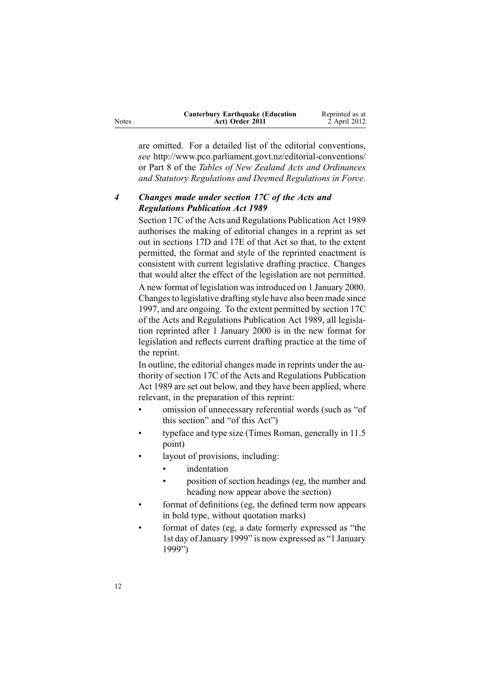| Notes | <b>Canterbury Earthquake (Education</b><br>Act) Order 2011 | Reprinted as at<br>2 April 2012 |
|-------|------------------------------------------------------------|---------------------------------|
|       |                                                            |                                 |

are omitted. For <sup>a</sup> detailed list of the editorial conventions, *see* <http://www.pco.parliament.govt.nz/editorial-conventions/> or Part 8 of the *Tables of New Zealand Acts and Ordinances and Statutory Regulations and Deemed Regulations in Force*.

# *4 Changes made under section 17C of the Acts and Regulations Publication Act 1989*

[Section](http://www.legislation.govt.nz/pdflink.aspx?id=DLM195466) 17C of the Acts and Regulations Publication Act 1989 authorises the making of editorial changes in <sup>a</sup> reprint as set out in [sections](http://www.legislation.govt.nz/pdflink.aspx?id=DLM195468) 17D and [17E](http://www.legislation.govt.nz/pdflink.aspx?id=DLM195470) of that Act so that, to the extent permitted, the format and style of the reprinted enactment is consistent with current legislative drafting practice. Changes that would alter the effect of the legislation are not permitted.

A new format of legislation wasintroduced on 1 January 2000. Changesto legislative drafting style have also been made since 1997, and are ongoing. To the extent permitted by [section](http://www.legislation.govt.nz/pdflink.aspx?id=DLM195466) 17C of the Acts and Regulations Publication Act 1989, all legislation reprinted after 1 January 2000 is in the new format for legislation and reflects current drafting practice at the time of the reprint.

In outline, the editorial changes made in reprints under the authority of [section](http://www.legislation.govt.nz/pdflink.aspx?id=DLM195466) 17C of the Acts and Regulations Publication Act 1989 are set out below, and they have been applied, where relevant, in the preparation of this reprint:

- • omission of unnecessary referential words (such as "of this section" and "of this Act")
- • typeface and type size (Times Roman, generally in 11.5 point)
- • layout of provisions, including:
	- •indentation
	- • position of section headings (eg, the number and heading now appear above the section)
- • format of definitions (eg, the defined term now appears in bold type, without quotation marks)
- • format of dates (eg, <sup>a</sup> date formerly expressed as "the 1st day of January 1999" is now expressed as "1 January 1999")